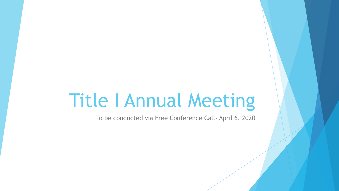# Title I Annual Meeting

To be conducted via Free Conference Call- April 6, 2020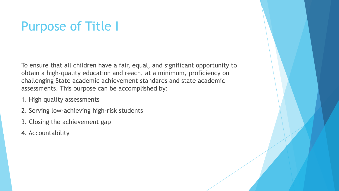## Purpose of Title I

To ensure that all children have a fair, equal, and significant opportunity to obtain a high-quality education and reach, at a minimum, proficiency on challenging State academic achievement standards and state academic assessments. This purpose can be accomplished by:

- 1. High quality assessments
- 2. Serving low-achieving high-risk students
- 3. Closing the achievement gap
- 4. Accountability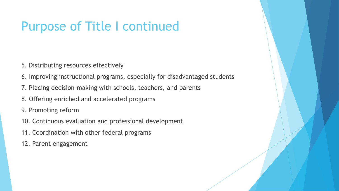## Purpose of Title I continued

- 5. Distributing resources effectively
- 6. Improving instructional programs, especially for disadvantaged students
- 7. Placing decision-making with schools, teachers, and parents
- 8. Offering enriched and accelerated programs
- 9. Promoting reform
- 10. Continuous evaluation and professional development
- 11. Coordination with other federal programs
- 12. Parent engagement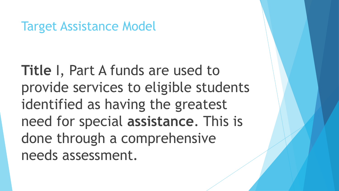Target Assistance Model

**Title** I, Part A funds are used to provide services to eligible students identified as having the greatest need for special **assistance**. This is done through a comprehensive needs assessment.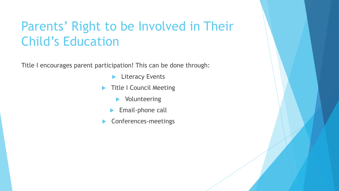### Parents' Right to be Involved in Their Child's Education

Title I encourages parent participation! This can be done through:

- **Literacy Events**
- Title I Council Meeting
	- **Nolunteering**
	- Email-phone call
- **Conferences-meetings**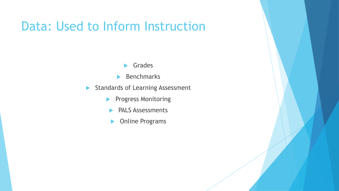#### Data: Used to Inform Instruction

- Grades
- $\blacktriangleright$  Benchmarks
- Standards of Learning Assessment
	- **Progress Monitoring** 
		- **PALS Assessments**
		- **Diamented Programs**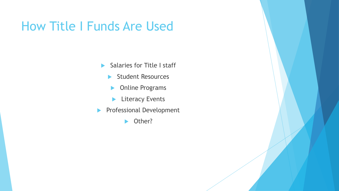#### How Title I Funds Are Used

- Salaries for Title I staff
	- Student Resources
	- **Diamensis Programs**
	- **Literacy Events**
- **Professional Development** 
	- ▶ Other?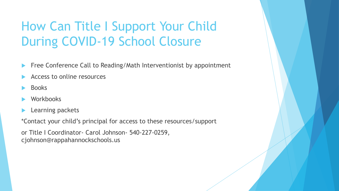## How Can Title I Support Your Child During COVID-19 School Closure

- Free Conference Call to Reading/Math Interventionist by appointment
- Access to online resources
- Books
- **Workbooks**
- Learning packets

\*Contact your child's principal for access to these resources/support

or Title I Coordinator- Carol Johnson- 540-227-0259, cjohnson@rappahannockschools.us